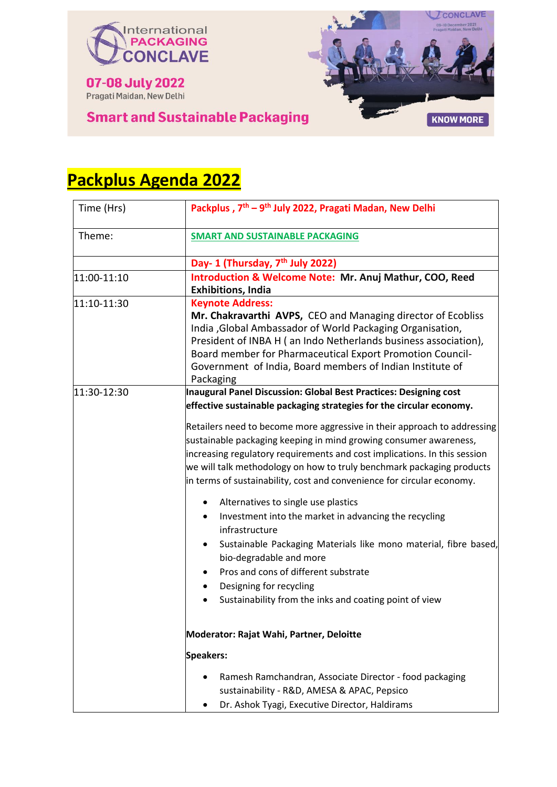



# **Smart and Sustainable Packaging**

| Time (Hrs)  | Packplus, 7 <sup>th</sup> – 9 <sup>th</sup> July 2022, Pragati Madan, New Delhi                                                                                                                                                                                                                                                                                                                                                                                                                                                                                                                                                                                                                                                          |
|-------------|------------------------------------------------------------------------------------------------------------------------------------------------------------------------------------------------------------------------------------------------------------------------------------------------------------------------------------------------------------------------------------------------------------------------------------------------------------------------------------------------------------------------------------------------------------------------------------------------------------------------------------------------------------------------------------------------------------------------------------------|
| Theme:      | <b>SMART AND SUSTAINABLE PACKAGING</b>                                                                                                                                                                                                                                                                                                                                                                                                                                                                                                                                                                                                                                                                                                   |
|             | Day- 1 (Thursday, 7 <sup>th</sup> July 2022)                                                                                                                                                                                                                                                                                                                                                                                                                                                                                                                                                                                                                                                                                             |
| 11:00-11:10 | <b>Introduction &amp; Welcome Note: Mr. Anuj Mathur, COO, Reed</b>                                                                                                                                                                                                                                                                                                                                                                                                                                                                                                                                                                                                                                                                       |
|             | <b>Exhibitions, India</b>                                                                                                                                                                                                                                                                                                                                                                                                                                                                                                                                                                                                                                                                                                                |
| 11:10-11:30 | <b>Keynote Address:</b><br>Mr. Chakravarthi AVPS, CEO and Managing director of Ecobliss<br>India , Global Ambassador of World Packaging Organisation,<br>President of INBA H (an Indo Netherlands business association),<br>Board member for Pharmaceutical Export Promotion Council-<br>Government of India, Board members of Indian Institute of<br>Packaging                                                                                                                                                                                                                                                                                                                                                                          |
| 11:30-12:30 | <b>Inaugural Panel Discussion: Global Best Practices: Designing cost</b>                                                                                                                                                                                                                                                                                                                                                                                                                                                                                                                                                                                                                                                                 |
|             | effective sustainable packaging strategies for the circular economy.                                                                                                                                                                                                                                                                                                                                                                                                                                                                                                                                                                                                                                                                     |
|             | Retailers need to become more aggressive in their approach to addressing<br>sustainable packaging keeping in mind growing consumer awareness,<br>increasing regulatory requirements and cost implications. In this session<br>we will talk methodology on how to truly benchmark packaging products<br>in terms of sustainability, cost and convenience for circular economy.<br>Alternatives to single use plastics<br>Investment into the market in advancing the recycling<br>infrastructure<br>Sustainable Packaging Materials like mono material, fibre based,<br>$\bullet$<br>bio-degradable and more<br>Pros and cons of different substrate<br>Designing for recycling<br>Sustainability from the inks and coating point of view |
|             |                                                                                                                                                                                                                                                                                                                                                                                                                                                                                                                                                                                                                                                                                                                                          |
|             | Moderator: Rajat Wahi, Partner, Deloitte                                                                                                                                                                                                                                                                                                                                                                                                                                                                                                                                                                                                                                                                                                 |
|             | <b>Speakers:</b>                                                                                                                                                                                                                                                                                                                                                                                                                                                                                                                                                                                                                                                                                                                         |
|             | Ramesh Ramchandran, Associate Director - food packaging<br>sustainability - R&D, AMESA & APAC, Pepsico<br>Dr. Ashok Tyagi, Executive Director, Haldirams                                                                                                                                                                                                                                                                                                                                                                                                                                                                                                                                                                                 |

# **Packplus Agenda 2022**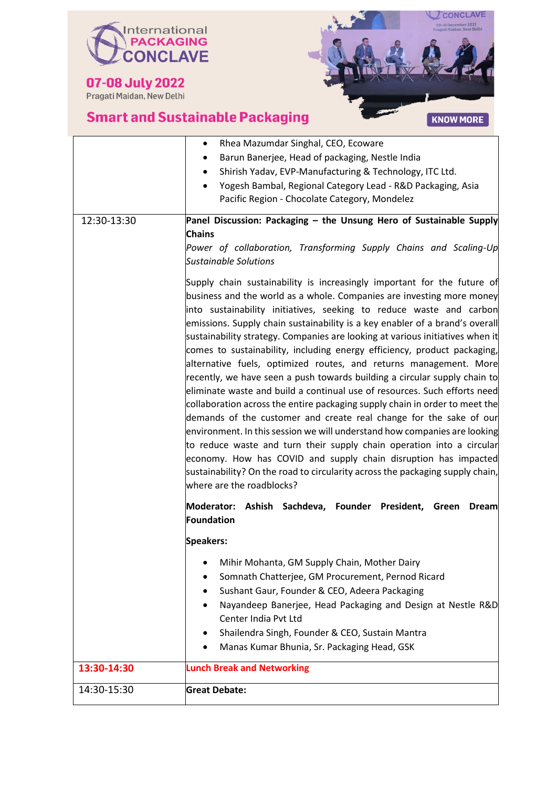

07-08 July 2022



٦

|             | Rhea Mazumdar Singhal, CEO, Ecoware<br>$\bullet$                                                                                                                                                                                                                                                                                                                                                                                                                                                                                                                                                                                                                                                                                                                                                                                                                                                                                                                                                                                                                                                                                                                                                |
|-------------|-------------------------------------------------------------------------------------------------------------------------------------------------------------------------------------------------------------------------------------------------------------------------------------------------------------------------------------------------------------------------------------------------------------------------------------------------------------------------------------------------------------------------------------------------------------------------------------------------------------------------------------------------------------------------------------------------------------------------------------------------------------------------------------------------------------------------------------------------------------------------------------------------------------------------------------------------------------------------------------------------------------------------------------------------------------------------------------------------------------------------------------------------------------------------------------------------|
|             | Barun Banerjee, Head of packaging, Nestle India                                                                                                                                                                                                                                                                                                                                                                                                                                                                                                                                                                                                                                                                                                                                                                                                                                                                                                                                                                                                                                                                                                                                                 |
|             | Shirish Yadav, EVP-Manufacturing & Technology, ITC Ltd.                                                                                                                                                                                                                                                                                                                                                                                                                                                                                                                                                                                                                                                                                                                                                                                                                                                                                                                                                                                                                                                                                                                                         |
|             | Yogesh Bambal, Regional Category Lead - R&D Packaging, Asia<br>$\bullet$                                                                                                                                                                                                                                                                                                                                                                                                                                                                                                                                                                                                                                                                                                                                                                                                                                                                                                                                                                                                                                                                                                                        |
|             | Pacific Region - Chocolate Category, Mondelez                                                                                                                                                                                                                                                                                                                                                                                                                                                                                                                                                                                                                                                                                                                                                                                                                                                                                                                                                                                                                                                                                                                                                   |
| 12:30-13:30 | Panel Discussion: Packaging - the Unsung Hero of Sustainable Supply                                                                                                                                                                                                                                                                                                                                                                                                                                                                                                                                                                                                                                                                                                                                                                                                                                                                                                                                                                                                                                                                                                                             |
|             | <b>Chains</b>                                                                                                                                                                                                                                                                                                                                                                                                                                                                                                                                                                                                                                                                                                                                                                                                                                                                                                                                                                                                                                                                                                                                                                                   |
|             | Power of collaboration, Transforming Supply Chains and Scaling-Up<br><b>Sustainable Solutions</b>                                                                                                                                                                                                                                                                                                                                                                                                                                                                                                                                                                                                                                                                                                                                                                                                                                                                                                                                                                                                                                                                                               |
|             | Supply chain sustainability is increasingly important for the future of<br>business and the world as a whole. Companies are investing more money<br>into sustainability initiatives, seeking to reduce waste and carbon<br>emissions. Supply chain sustainability is a key enabler of a brand's overall<br>sustainability strategy. Companies are looking at various initiatives when it<br>comes to sustainability, including energy efficiency, product packaging,<br>alternative fuels, optimized routes, and returns management. More<br>recently, we have seen a push towards building a circular supply chain to<br>eliminate waste and build a continual use of resources. Such efforts need<br>collaboration across the entire packaging supply chain in order to meet the<br>demands of the customer and create real change for the sake of our<br>environment. In this session we will understand how companies are looking<br>to reduce waste and turn their supply chain operation into a circular<br>economy. How has COVID and supply chain disruption has impacted<br>sustainability? On the road to circularity across the packaging supply chain,<br>where are the roadblocks? |
|             | Moderator: Ashish Sachdeva, Founder President, Green<br><b>Dream</b><br>Foundation                                                                                                                                                                                                                                                                                                                                                                                                                                                                                                                                                                                                                                                                                                                                                                                                                                                                                                                                                                                                                                                                                                              |
|             | <b>Speakers:</b>                                                                                                                                                                                                                                                                                                                                                                                                                                                                                                                                                                                                                                                                                                                                                                                                                                                                                                                                                                                                                                                                                                                                                                                |
|             | Mihir Mohanta, GM Supply Chain, Mother Dairy                                                                                                                                                                                                                                                                                                                                                                                                                                                                                                                                                                                                                                                                                                                                                                                                                                                                                                                                                                                                                                                                                                                                                    |
|             | Somnath Chatterjee, GM Procurement, Pernod Ricard                                                                                                                                                                                                                                                                                                                                                                                                                                                                                                                                                                                                                                                                                                                                                                                                                                                                                                                                                                                                                                                                                                                                               |
|             | Sushant Gaur, Founder & CEO, Adeera Packaging                                                                                                                                                                                                                                                                                                                                                                                                                                                                                                                                                                                                                                                                                                                                                                                                                                                                                                                                                                                                                                                                                                                                                   |
|             | Nayandeep Banerjee, Head Packaging and Design at Nestle R&D                                                                                                                                                                                                                                                                                                                                                                                                                                                                                                                                                                                                                                                                                                                                                                                                                                                                                                                                                                                                                                                                                                                                     |
|             | Center India Pvt Ltd                                                                                                                                                                                                                                                                                                                                                                                                                                                                                                                                                                                                                                                                                                                                                                                                                                                                                                                                                                                                                                                                                                                                                                            |
|             | Shailendra Singh, Founder & CEO, Sustain Mantra                                                                                                                                                                                                                                                                                                                                                                                                                                                                                                                                                                                                                                                                                                                                                                                                                                                                                                                                                                                                                                                                                                                                                 |
|             |                                                                                                                                                                                                                                                                                                                                                                                                                                                                                                                                                                                                                                                                                                                                                                                                                                                                                                                                                                                                                                                                                                                                                                                                 |

|             | Manas Kumar Bhunia, Sr. Packaging Head, GSK |
|-------------|---------------------------------------------|
| 13:30-14:30 | <b>Lunch Break and Networking</b>           |
| 14:30-15:30 | <b>Great Debate:</b>                        |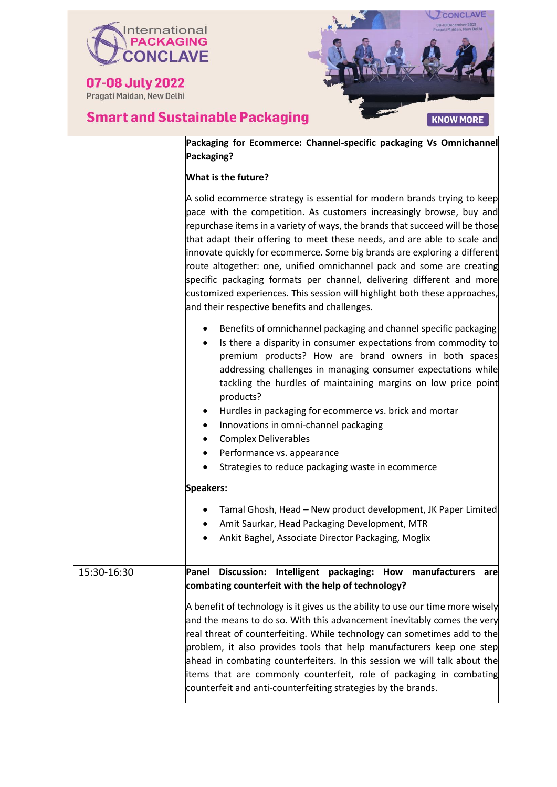



|             | Packaging for Ecommerce: Channel-specific packaging Vs Omnichannel<br>Packaging?                                                                                                                                                                                                                                                                                                                                                                                                                                                                                                                                                                                           |
|-------------|----------------------------------------------------------------------------------------------------------------------------------------------------------------------------------------------------------------------------------------------------------------------------------------------------------------------------------------------------------------------------------------------------------------------------------------------------------------------------------------------------------------------------------------------------------------------------------------------------------------------------------------------------------------------------|
|             | <b>What is the future?</b>                                                                                                                                                                                                                                                                                                                                                                                                                                                                                                                                                                                                                                                 |
|             | A solid ecommerce strategy is essential for modern brands trying to keep<br>pace with the competition. As customers increasingly browse, buy and<br>repurchase items in a variety of ways, the brands that succeed will be those<br>that adapt their offering to meet these needs, and are able to scale and<br>innovate quickly for ecommerce. Some big brands are exploring a different<br>route altogether: one, unified omnichannel pack and some are creating<br>specific packaging formats per channel, delivering different and more<br>customized experiences. This session will highlight both these approaches,<br>and their respective benefits and challenges. |
|             | Benefits of omnichannel packaging and channel specific packaging<br>Is there a disparity in consumer expectations from commodity to<br>$\bullet$<br>premium products? How are brand owners in both spaces<br>addressing challenges in managing consumer expectations while<br>tackling the hurdles of maintaining margins on low price point<br>products?<br>Hurdles in packaging for ecommerce vs. brick and mortar<br>Innovations in omni-channel packaging<br>٠<br><b>Complex Deliverables</b><br>$\bullet$<br>Performance vs. appearance<br>٠<br>Strategies to reduce packaging waste in ecommerce                                                                     |
|             | <b>Speakers:</b>                                                                                                                                                                                                                                                                                                                                                                                                                                                                                                                                                                                                                                                           |
|             | Tamal Ghosh, Head - New product development, JK Paper Limited<br>Amit Saurkar, Head Packaging Development, MTR<br>Ankit Baghel, Associate Director Packaging, Moglix                                                                                                                                                                                                                                                                                                                                                                                                                                                                                                       |
| 15:30-16:30 | Panel Discussion: Intelligent packaging: How manufacturers<br>are<br>combating counterfeit with the help of technology?                                                                                                                                                                                                                                                                                                                                                                                                                                                                                                                                                    |
|             | A benefit of technology is it gives us the ability to use our time more wisely<br>and the means to do so. With this advancement inevitably comes the very<br>real threat of counterfeiting. While technology can sometimes add to the<br>problem, it also provides tools that help manufacturers keep one step<br>ahead in combating counterfeiters. In this session we will talk about the<br>items that are commonly counterfeit, role of packaging in combating<br>counterfeit and anti-counterfeiting strategies by the brands.                                                                                                                                        |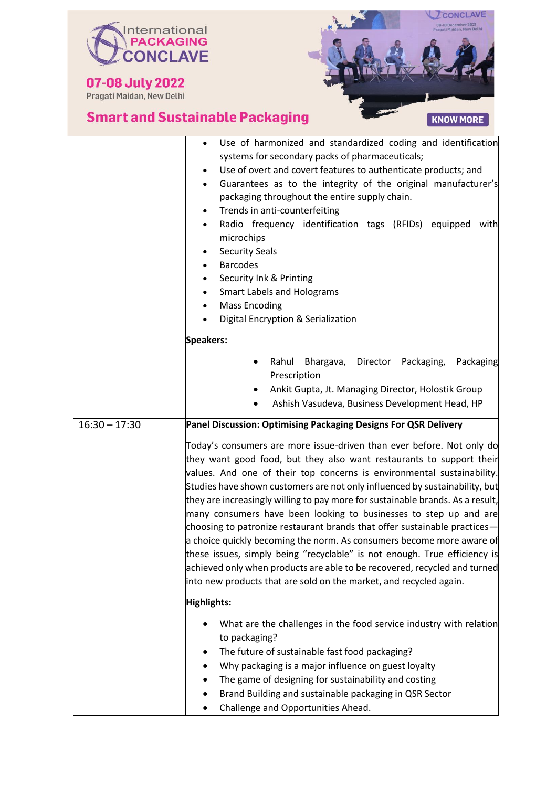

07-08 July 2022



|                 | Use of harmonized and standardized coding and identification<br>systems for secondary packs of pharmaceuticals;<br>Use of overt and covert features to authenticate products; and<br>$\bullet$<br>Guarantees as to the integrity of the original manufacturer's<br>$\bullet$<br>packaging throughout the entire supply chain.<br>Trends in anti-counterfeiting<br>$\bullet$<br>Radio frequency identification tags (RFIDs) equipped<br>with<br>$\bullet$<br>microchips<br><b>Security Seals</b><br>$\bullet$<br><b>Barcodes</b><br>$\bullet$<br>Security Ink & Printing<br><b>Smart Labels and Holograms</b><br>$\bullet$<br><b>Mass Encoding</b><br>$\bullet$<br>Digital Encryption & Serialization<br>$\bullet$                                                                                                                                   |
|-----------------|-----------------------------------------------------------------------------------------------------------------------------------------------------------------------------------------------------------------------------------------------------------------------------------------------------------------------------------------------------------------------------------------------------------------------------------------------------------------------------------------------------------------------------------------------------------------------------------------------------------------------------------------------------------------------------------------------------------------------------------------------------------------------------------------------------------------------------------------------------|
|                 | <b>Speakers:</b>                                                                                                                                                                                                                                                                                                                                                                                                                                                                                                                                                                                                                                                                                                                                                                                                                                    |
|                 | Rahul<br>Bhargava, Director Packaging,<br>Packaging<br>Prescription<br>Ankit Gupta, Jt. Managing Director, Holostik Group<br>Ashish Vasudeva, Business Development Head, HP                                                                                                                                                                                                                                                                                                                                                                                                                                                                                                                                                                                                                                                                         |
| $16:30 - 17:30$ | Panel Discussion: Optimising Packaging Designs For QSR Delivery                                                                                                                                                                                                                                                                                                                                                                                                                                                                                                                                                                                                                                                                                                                                                                                     |
|                 | Today's consumers are more issue-driven than ever before. Not only do<br>they want good food, but they also want restaurants to support their<br>values. And one of their top concerns is environmental sustainability.<br>Studies have shown customers are not only influenced by sustainability, but<br>they are increasingly willing to pay more for sustainable brands. As a result,<br>many consumers have been looking to businesses to step up and are<br>choosing to patronize restaurant brands that offer sustainable practices—<br>a choice quickly becoming the norm. As consumers become more aware of<br>these issues, simply being "recyclable" is not enough. True efficiency is<br>achieved only when products are able to be recovered, recycled and turned<br>into new products that are sold on the market, and recycled again. |
|                 | Highlights:                                                                                                                                                                                                                                                                                                                                                                                                                                                                                                                                                                                                                                                                                                                                                                                                                                         |
|                 | What are the challenges in the food service industry with relation<br>to packaging?<br>The future of sustainable fast food packaging?<br>Why packaging is a major influence on guest loyalty<br>The game of designing for sustainability and costing<br>Brand Building and sustainable packaging in QSR Sector<br>Challenge and Opportunities Ahead.                                                                                                                                                                                                                                                                                                                                                                                                                                                                                                |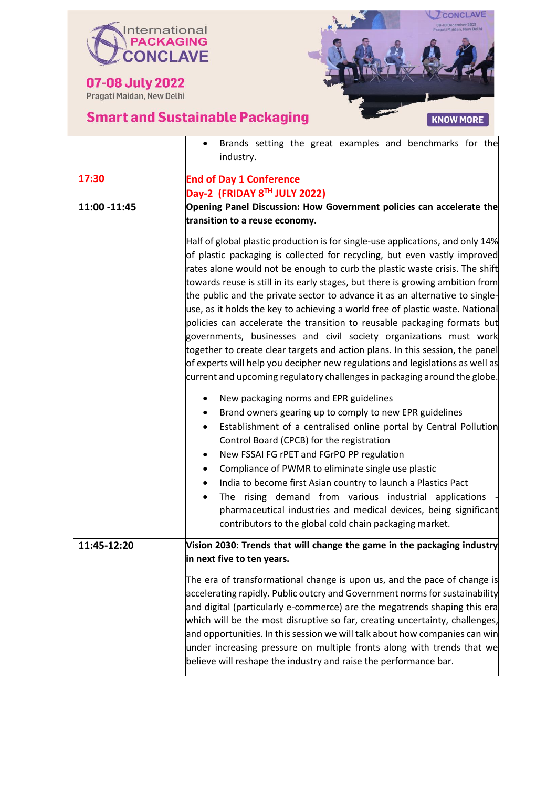



|              | Brands setting the great examples and benchmarks for the<br>$\bullet$<br>industry.                                                                                                                                                                                                                                                                                                                                                                                                                                                                                                                                                                                                                                                                                                                                                                                                            |
|--------------|-----------------------------------------------------------------------------------------------------------------------------------------------------------------------------------------------------------------------------------------------------------------------------------------------------------------------------------------------------------------------------------------------------------------------------------------------------------------------------------------------------------------------------------------------------------------------------------------------------------------------------------------------------------------------------------------------------------------------------------------------------------------------------------------------------------------------------------------------------------------------------------------------|
| 17:30        | <b>End of Day 1 Conference</b>                                                                                                                                                                                                                                                                                                                                                                                                                                                                                                                                                                                                                                                                                                                                                                                                                                                                |
|              | Day-2 (FRIDAY 8TH JULY 2022)                                                                                                                                                                                                                                                                                                                                                                                                                                                                                                                                                                                                                                                                                                                                                                                                                                                                  |
| 11:00 -11:45 | Opening Panel Discussion: How Government policies can accelerate the<br>transition to a reuse economy.                                                                                                                                                                                                                                                                                                                                                                                                                                                                                                                                                                                                                                                                                                                                                                                        |
|              | Half of global plastic production is for single-use applications, and only 14%<br>of plastic packaging is collected for recycling, but even vastly improved<br>rates alone would not be enough to curb the plastic waste crisis. The shift<br>towards reuse is still in its early stages, but there is growing ambition from<br>the public and the private sector to advance it as an alternative to single-<br>use, as it holds the key to achieving a world free of plastic waste. National<br>policies can accelerate the transition to reusable packaging formats but<br>governments, businesses and civil society organizations must work<br>together to create clear targets and action plans. In this session, the panel<br>of experts will help you decipher new regulations and legislations as well as<br>current and upcoming regulatory challenges in packaging around the globe. |
|              | New packaging norms and EPR guidelines<br>Brand owners gearing up to comply to new EPR guidelines<br>Establishment of a centralised online portal by Central Pollution<br>$\bullet$<br>Control Board (CPCB) for the registration<br>New FSSAI FG rPET and FGrPO PP regulation<br>Compliance of PWMR to eliminate single use plastic<br>$\bullet$<br>India to become first Asian country to launch a Plastics Pact<br>The rising demand from various industrial applications<br>pharmaceutical industries and medical devices, being significant<br>contributors to the global cold chain packaging market.                                                                                                                                                                                                                                                                                    |
| 11:45-12:20  | Vision 2030: Trends that will change the game in the packaging industry<br>in next five to ten years.                                                                                                                                                                                                                                                                                                                                                                                                                                                                                                                                                                                                                                                                                                                                                                                         |
|              | The era of transformational change is upon us, and the pace of change is<br>accelerating rapidly. Public outcry and Government norms for sustainability<br>and digital (particularly e-commerce) are the megatrends shaping this era<br>which will be the most disruptive so far, creating uncertainty, challenges,<br>and opportunities. In this session we will talk about how companies can win<br>under increasing pressure on multiple fronts along with trends that we<br>believe will reshape the industry and raise the performance bar.                                                                                                                                                                                                                                                                                                                                              |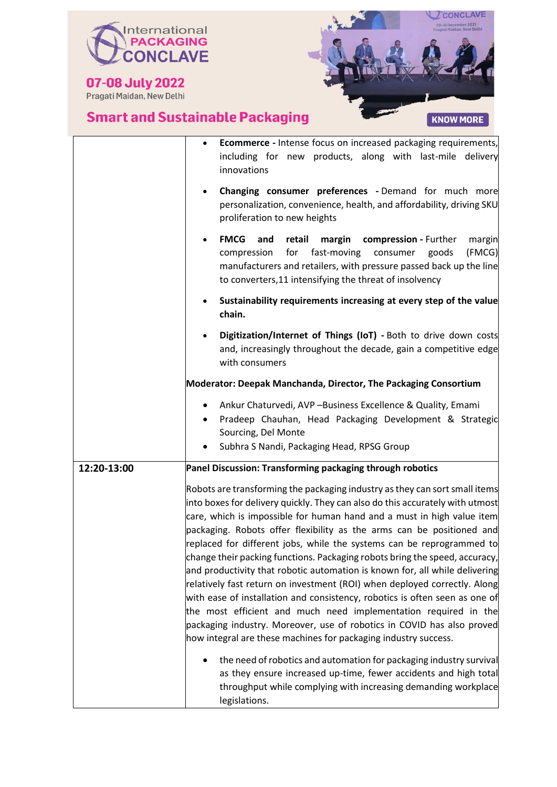



|             | <b>Ecommerce</b> - Intense focus on increased packaging requirements,<br>including for new products, along with last-mile delivery<br>innovations                                                                                                                                                                                                                                                                                                                                                                                                                                                                                                                                                                                                                                                                                                                                                                                                                                                                                                                             |
|-------------|-------------------------------------------------------------------------------------------------------------------------------------------------------------------------------------------------------------------------------------------------------------------------------------------------------------------------------------------------------------------------------------------------------------------------------------------------------------------------------------------------------------------------------------------------------------------------------------------------------------------------------------------------------------------------------------------------------------------------------------------------------------------------------------------------------------------------------------------------------------------------------------------------------------------------------------------------------------------------------------------------------------------------------------------------------------------------------|
|             | Changing consumer preferences - Demand for much more<br>$\bullet$<br>personalization, convenience, health, and affordability, driving SKU<br>proliferation to new heights                                                                                                                                                                                                                                                                                                                                                                                                                                                                                                                                                                                                                                                                                                                                                                                                                                                                                                     |
|             | <b>FMCG</b><br>retail<br>and<br>margin<br>compression - Further<br>margin<br>for<br>fast-moving<br>(FMCG)<br>compression<br>consumer<br>goods<br>manufacturers and retailers, with pressure passed back up the line<br>to converters, 11 intensifying the threat of insolvency                                                                                                                                                                                                                                                                                                                                                                                                                                                                                                                                                                                                                                                                                                                                                                                                |
|             | Sustainability requirements increasing at every step of the value<br>chain.                                                                                                                                                                                                                                                                                                                                                                                                                                                                                                                                                                                                                                                                                                                                                                                                                                                                                                                                                                                                   |
|             | Digitization/Internet of Things (IoT) - Both to drive down costs<br>and, increasingly throughout the decade, gain a competitive edge<br>with consumers                                                                                                                                                                                                                                                                                                                                                                                                                                                                                                                                                                                                                                                                                                                                                                                                                                                                                                                        |
|             | Moderator: Deepak Manchanda, Director, The Packaging Consortium                                                                                                                                                                                                                                                                                                                                                                                                                                                                                                                                                                                                                                                                                                                                                                                                                                                                                                                                                                                                               |
|             | Ankur Chaturvedi, AVP-Business Excellence & Quality, Emami<br>Pradeep Chauhan, Head Packaging Development & Strategic<br>Sourcing, Del Monte<br>Subhra S Nandi, Packaging Head, RPSG Group                                                                                                                                                                                                                                                                                                                                                                                                                                                                                                                                                                                                                                                                                                                                                                                                                                                                                    |
| 12:20-13:00 | Panel Discussion: Transforming packaging through robotics                                                                                                                                                                                                                                                                                                                                                                                                                                                                                                                                                                                                                                                                                                                                                                                                                                                                                                                                                                                                                     |
|             | Robots are transforming the packaging industry as they can sort small items<br>into boxes for delivery quickly. They can also do this accurately with utmost<br>care, which is impossible for human hand and a must in high value item<br>packaging. Robots offer flexibility as the arms can be positioned and<br>replaced for different jobs, while the systems can be reprogrammed to<br>change their packing functions. Packaging robots bring the speed, accuracy,<br>and productivity that robotic automation is known for, all while delivering<br>relatively fast return on investment (ROI) when deployed correctly. Along<br>with ease of installation and consistency, robotics is often seen as one of<br>the most efficient and much need implementation required in the<br>packaging industry. Moreover, use of robotics in COVID has also proved<br>how integral are these machines for packaging industry success.<br>the need of robotics and automation for packaging industry survival<br>as they ensure increased up-time, fewer accidents and high total |
|             | throughput while complying with increasing demanding workplace                                                                                                                                                                                                                                                                                                                                                                                                                                                                                                                                                                                                                                                                                                                                                                                                                                                                                                                                                                                                                |

legislations.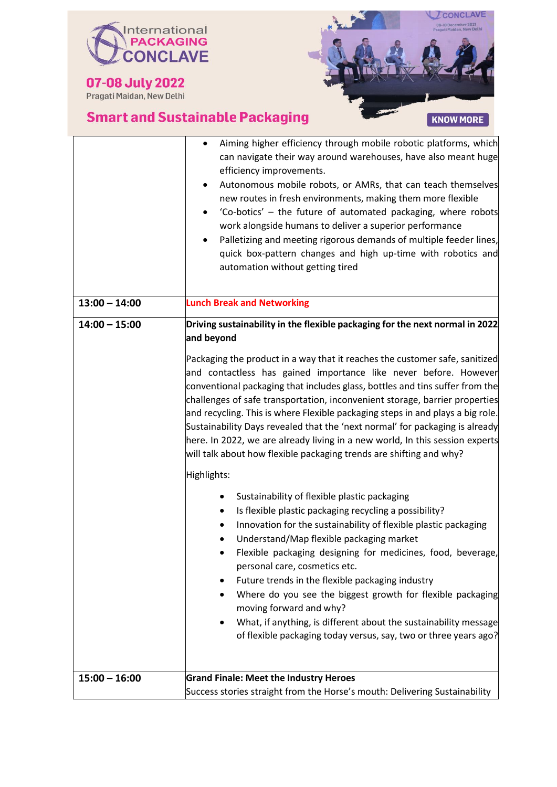



|                 | Aiming higher efficiency through mobile robotic platforms, which<br>can navigate their way around warehouses, have also meant huge<br>efficiency improvements.<br>Autonomous mobile robots, or AMRs, that can teach themselves<br>new routes in fresh environments, making them more flexible<br>'Co-botics' - the future of automated packaging, where robots<br>work alongside humans to deliver a superior performance<br>Palletizing and meeting rigorous demands of multiple feeder lines,<br>quick box-pattern changes and high up-time with robotics and<br>automation without getting tired                                     |
|-----------------|-----------------------------------------------------------------------------------------------------------------------------------------------------------------------------------------------------------------------------------------------------------------------------------------------------------------------------------------------------------------------------------------------------------------------------------------------------------------------------------------------------------------------------------------------------------------------------------------------------------------------------------------|
| $13:00 - 14:00$ | <b>Lunch Break and Networking</b>                                                                                                                                                                                                                                                                                                                                                                                                                                                                                                                                                                                                       |
| $14:00 - 15:00$ | Driving sustainability in the flexible packaging for the next normal in 2022<br>and beyond                                                                                                                                                                                                                                                                                                                                                                                                                                                                                                                                              |
|                 | Packaging the product in a way that it reaches the customer safe, sanitized<br>and contactless has gained importance like never before. However<br>conventional packaging that includes glass, bottles and tins suffer from the<br>challenges of safe transportation, inconvenient storage, barrier properties<br>and recycling. This is where Flexible packaging steps in and plays a big role.<br>Sustainability Days revealed that the 'next normal' for packaging is already<br>here. In 2022, we are already living in a new world, In this session experts<br>will talk about how flexible packaging trends are shifting and why? |
|                 | Highlights:                                                                                                                                                                                                                                                                                                                                                                                                                                                                                                                                                                                                                             |
|                 | Sustainability of flexible plastic packaging<br>٠<br>Is flexible plastic packaging recycling a possibility?<br>٠<br>Innovation for the sustainability of flexible plastic packaging<br>Understand/Map flexible packaging market<br>Flexible packaging designing for medicines, food, beverage,<br>personal care, cosmetics etc.<br>Future trends in the flexible packaging industry<br>Where do you see the biggest growth for flexible packaging<br>moving forward and why?<br>What, if anything, is different about the sustainability message<br>of flexible packaging today versus, say, two or three years ago?                    |
| $15:00 - 16:00$ | <b>Grand Finale: Meet the Industry Heroes</b>                                                                                                                                                                                                                                                                                                                                                                                                                                                                                                                                                                                           |
|                 | Success stories straight from the Horse's mouth: Delivering Sustainability                                                                                                                                                                                                                                                                                                                                                                                                                                                                                                                                                              |